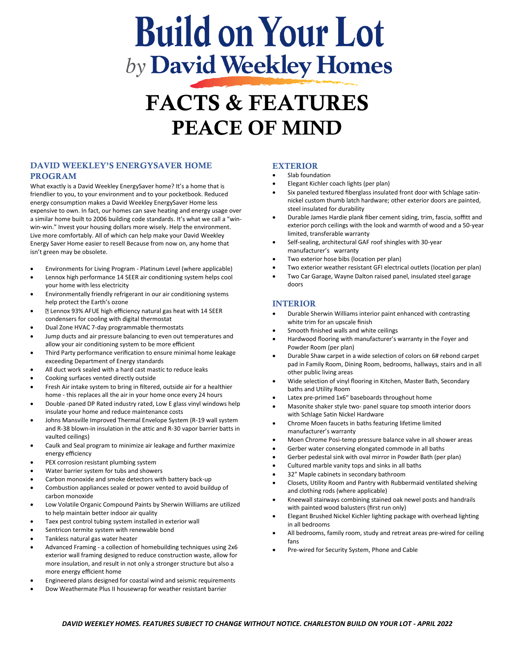# **Build on Your Lot** by **David Weekley Homes**

# FACTS & FEATURES PEACE OF MIND

# DAVID WEEKLEY'S ENERGYSAVER HOME PROGRAM

What exactly is a David Weekley EnergySaver home? It's a home that is friendlier to you, to your environment and to your pocketbook. Reduced energy consumption makes a David Weekley EnergySaver Home less expensive to own. In fact, our homes can save heating and energy usage over a similar home built to 2006 building code standards. It's what we call a "winwin-win." Invest your housing dollars more wisely. Help the environment. Live more comfortably. All of which can help make your David Weekley Energy Saver Home easier to resell Because from now on, any home that isn't green may be obsolete.

- Environments for Living Program Platinum Level (where applicable)
- Lennox high performance 14 SEER air conditioning system helps cool your home with less electricity
- Environmentally friendly refrigerant in our air conditioning systems help protect the Earth's ozone
- Lennox 93% AFUE high efficiency natural gas heat with 14 SEER condensers for cooling with digital thermostat
- Dual Zone HVAC 7-day programmable thermostats
- Jump ducts and air pressure balancing to even out temperatures and allow your air conditioning system to be more efficient
- Third Party performance verification to ensure minimal home leakage exceeding Department of Energy standards
- All duct work sealed with a hard cast mastic to reduce leaks
- Cooking surfaces vented directly outside
- Fresh Air intake system to bring in filtered, outside air for a healthier home - this replaces all the air in your home once every 24 hours
- Double -paned DP Rated industry rated, Low E glass vinyl windows help insulate your home and reduce maintenance costs
- Johns Mansville Improved Thermal Envelope System (R-19 wall system and R-38 blown-in insulation in the attic and R-30 vapor barrier batts in vaulted ceilings)
- Caulk and Seal program to minimize air leakage and further maximize energy efficiency
- PEX corrosion resistant plumbing system
- Water barrier system for tubs and showers
- Carbon monoxide and smoke detectors with battery back-up
- Combustion appliances sealed or power vented to avoid buildup of carbon monoxide
- Low Volatile Organic Compound Paints by Sherwin Williams are utilized to help maintain better indoor air quality
- Taex pest control tubing system installed in exterior wall
- Sentricon termite system with renewable bond
- Tankless natural gas water heater
- Advanced Framing a collection of homebuilding techniques using 2x6 exterior wall framing designed to reduce construction waste, allow for more insulation, and result in not only a stronger structure but also a more energy efficient home
- Engineered plans designed for coastal wind and seismic requirements
- Dow Weathermate Plus II housewrap for weather resistant barrier

### EXTERIOR

- Slab foundation
- Elegant Kichler coach lights (per plan)
- Six paneled textured fiberglass insulated front door with Schlage satinnickel custom thumb latch hardware; other exterior doors are painted, steel insulated for durability
- Durable James Hardie plank fiber cement siding, trim, fascia, soffitt and exterior porch ceilings with the look and warmth of wood and a 50-year limited, transferable warranty
- Self-sealing, architectural GAF roof shingles with 30-year manufacturer's warranty
- Two exterior hose bibs (location per plan)
- Two exterior weather resistant GFI electrical outlets (location per plan)
- Two Car Garage, Wayne Dalton raised panel, insulated steel garage doors

# INTERIOR

- Durable Sherwin Williams interior paint enhanced with contrasting white trim for an upscale finish
- Smooth finished walls and white ceilings
- Hardwood flooring with manufacturer's warranty in the Foyer and Powder Room (per plan)
- Durable Shaw carpet in a wide selection of colors on 6# rebond carpet pad in Family Room, Dining Room, bedrooms, hallways, stairs and in all other public living areas
- Wide selection of vinyl flooring in Kitchen, Master Bath, Secondary baths and Utility Room
- Latex pre-primed 1x6" baseboards throughout home
- Masonite shaker style two- panel square top smooth interior doors with Schlage Satin Nickel Hardware
- Chrome Moen faucets in baths featuring lifetime limited manufacturer's warranty
- Moen Chrome Posi-temp pressure balance valve in all shower areas
- Gerber water conserving elongated commode in all baths
- Gerber pedestal sink with oval mirror in Powder Bath (per plan)
- Cultured marble vanity tops and sinks in all baths
- 32" Maple cabinets in secondary bathroom
- Closets, Utility Room and Pantry with Rubbermaid ventilated shelving and clothing rods (where applicable)
- Kneewall stairways combining stained oak newel posts and handrails with painted wood balusters (first run only)
- Elegant Brushed Nickel Kichler lighting package with overhead lighting in all bedrooms
- All bedrooms, family room, study and retreat areas pre-wired for ceiling fans
- Pre-wired for Security System, Phone and Cable